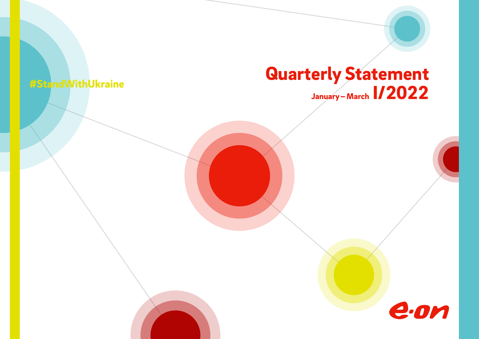# *Quarterly Statement January –March I/2022 #StandWithUkraine*

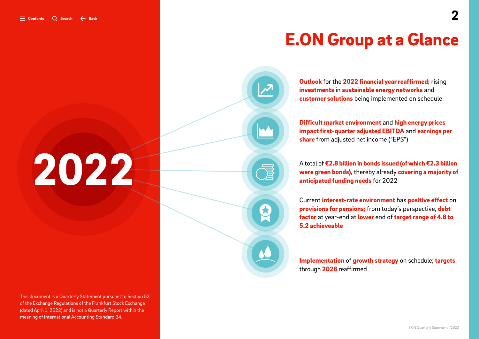# *E.ON Group at a Glance*

*Outlook for the 2022 financial year reaffirmed; rising investments in sustainable energy networks and customer solutions being implemented on schedule*

*Difficult market environment and high energy prices impact first-quarter adjusted EBITDA and earnings per share from adjusted net income ("EPS")*

*A total of €2.8 billion in bonds issued (of which €2.3 billion were green bonds), thereby already covering a majority of anticipated funding needs for 2022*

*Current interest-rate environment has positive effect on provisions for pensions; from today's perspective, debt factor at year-end at lower end of target range of 4.8 to 5.2 achieveable*

*Implementation of growth strategy on schedule; targets through 2026 reaffirmed*

# <span id="page-1-0"></span>*2022*

*This document is a Quarterly Statement pursuant to Section 53 of the Exchange Regulations of the Frankfurt Stock Exchange (dated April 1, 2022) and is not a Quarterly Report within the meaning of International Accounting Standard 34.*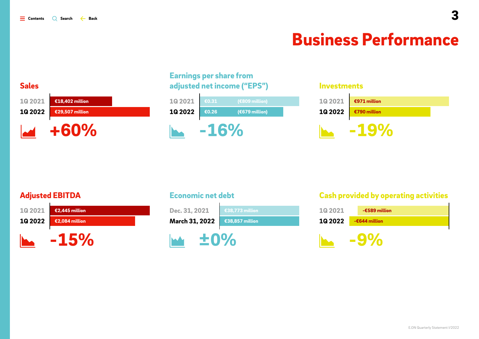# *Business Performance*

<span id="page-2-0"></span>

# *Earnings per share from adjusted net income ("EPS")*

| 10 20 21       | €0.31  | (€809 million)  |  |
|----------------|--------|-----------------|--|
| <b>1Q 2022</b> | €0.26  | $(679$ million) |  |
|                | $-16%$ |                 |  |

### *Investments*

| 10 20 21 | €971 million |
|----------|--------------|
| 10 20 22 | €790 million |
|          |              |

# *Adjusted EBITDA*



# *Economic net debt*



# *Cash provided by operating activities*

| <b>1Q 2021</b> | $-6589$ million |
|----------------|-----------------|
| <b>1Q 2022</b> | $-6644$ million |
|                |                 |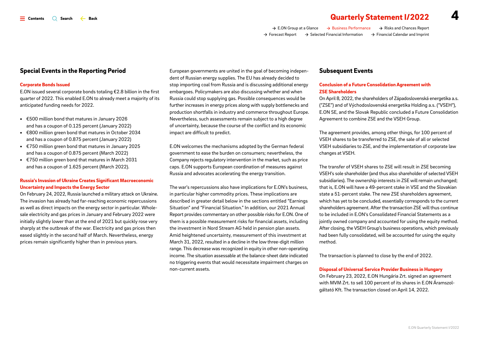*[E.ON Group at a Glance](#page-1-0) [Business Performance](#page-2-0) [Risks and Chances Report](#page-10-0) [Forecast Report](#page-11-0) [Selected Financial Information](#page-12-0) [Financial Calendar and Imprint](#page-17-0)*

### *Special Events in the Reporting Period*

### *Corporate Bonds Issued*

*E.ON issued several corporate bonds totaling €2.8 billion in the first quarter of 2022. This enabled E.ON to already meet a majority of its anticipated funding needs for 2022.*

- *• €500 million bond that matures in January 2026 and has a coupon of 0.125 percent (January 2022)*
- *• €800 million green bond that matures in October 2034 and has a coupon of 0.875 percent (January 2022)*
- *• €750 million green bond that matures in January 2025 and has a coupon of 0.875 percent (March 2022)*
- *• €750 million green bond that matures in March 2031 and has a coupon of 1.625 percent (March 2022).*

### *Russia's Invasion of Ukraine Creates Significant Macroeconomic Uncertainty and Impacts the Energy Sector*

*On February 24, 2022, Russia launched a military attack on Ukraine. The invasion has already had far-reaching economic repercussions as well as direct impacts on the energy sector in particular. Wholesale electricity and gas prices in January and February 2022 were initially slightly lower than at the end of 2021 but quickly rose very sharply at the outbreak of the war. Electricity and gas prices then eased slightly in the second half of March. Nevertheless, energy prices remain significantly higher than in previous years.*

*European governments are united in the goal of becoming independent of Russian energy supplies. The EU has already decided to stop importing coal from Russia and is discussing additional energy embargoes. Policymakers are also discussing whether and when Russia could stop supplying gas. Possible consequences would be further increases in energy prices along with supply bottlenecks and production shortfalls in industry and commerce throughout Europe. Nevertheless, such assessments remain subject to a high degree of uncertainty, because the course of the conflict and its economic impact are difficult to predict.*

*E.ON welcomes the mechanisms adopted by the German federal government to ease the burden on consumers; nevertheless, the Company rejects regulatory intervention in the market, such as price caps. E.ON supports European coordination of measures against Russia and advocates accelerating the energy transition.*

*The war's repercussions also have implications for E.ON's business, in particular higher commodity prices. These implications are described in greater detail below in the sections entitled "Earnings Situation" and "Financial Situation." In addition, our 2021 Annual Report provides commentary on other possible risks for E.ON. One of them is a possible measurement risks for financial assets, including the investment in Nord Stream AG held in pension plan assets. Amid heightened uncertainty, measurement of this investment at March 31, 2022, resulted in a decline in the low three-digit million range. This decrease was recognized in equity in other non-operating income. The situation assessable at the balance-sheet date indicated no triggering events that would necessitate impairment charges on non-current assets.*

### *Subsequent Events*

### *Conclusion of a Future Consolidation Agreement with ZSE Shareholders*

*On April 8, 2022, the shareholders of Západoslovenská energetika a.s. ("ZSE") and of Východoslovenská energetika Holding a.s. ("VSEH"), E.ON SE, and the Slovak Republic concluded a Future Consolidation Agreement to combine ZSE and the VSEH Group.* 

*The agreement provides, among other things, for 100 percent of VSEH shares to be transferred to ZSE, the sale of all or selected VSEH subsidiaries to ZSE, and the implementation of corporate law changes at VSEH.*

*The transfer of VSEH shares to ZSE will result in ZSE becoming VSEH's sole shareholder (and thus also shareholder of selected VSEH subsidiaries). The ownership interests in ZSE will remain unchanged; that is, E.ON will have a 49-percent stake in VSE and the Slovakian state a 51-percent stake. The new ZSE shareholders agreement, which has yet to be concluded, essentially corresponds to the current shareholders agreement. After the transaction ZSE will thus continue to be included in E.ON's Consolidated Financial Statements as a jointly owned company and accounted for using the equity method. After closing, the VSEH Group's business operations, which previously had been fully consolidated, will be accounted for using the equity method.*

*The transaction is planned to close by the end of 2022.*

### *Disposal of Universal Service Provider Business in Hungary*

*On February 23, 2022, E.ON Hungária Zrt. signed an agreement with MVM Zrt. to sell 100 percent of its shares in E.ON Áramszolgáltató Kft. The transaction closed on April 14, 2022.*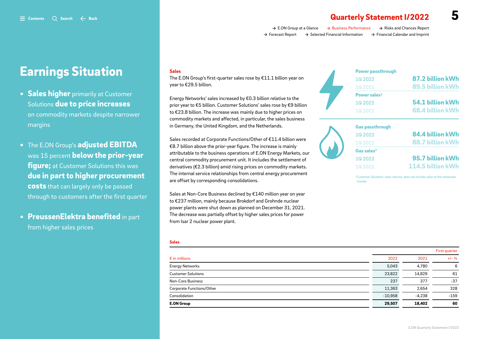# $\equiv$  contents  $\cap$  Search  $\leftarrow$  Back *Guarterly Statement I/2022*

*[E.ON Group at a Glance](#page-1-0) [Business Performance](#page-2-0) [Risks and Chances Report](#page-10-0) [Forecast Report](#page-11-0) [Selected Financial Information](#page-12-0) [Financial Calendar and Imprint](#page-17-0)*

# *Earnings Situation*

- *Sales higher primarily at Customer Solutions due to price increases on commodity markets despite narrower margins*
- *The E.ON Group's adjusted EBITDA was 15 percent below the prior-year figure; at Customer Solutions this was due in part to higher procurement costs that can largely only be passed through to customers after the first quarter*
- *PreussenElektra benefited in part from higher sales prices*

### *Sales*

*The E.ON Group's first-quarter sales rose by €11.1 billion year on year to €29.5 billion.* 

*Energy Networks' sales increased by €0.3 billion relative to the prior year to €5 billion. Customer Solutions' sales rose by €9 billion to €23.8 billion. The increase was mainly due to higher prices on commodity markets and affected, in particular, the sales business in Germany, the United Kingdom, and the Netherlands.* 

*Sales recorded at Corporate Functions/Other of €11.4 billion were €8.7 billion above the prior-year figure. The increase is mainly attributable to the business operations of E.ON Energy Markets, our central commodity procurement unit. It includes the settlement of derivatives (€2.3 billion) amid rising prices on commodity markets. The internal service relationships from central energy procurement are offset by corresponding consolidations.*

*Sales at Non-Core Business declined by €140 million year on year to €237 million, mainly because Brokdorf and Grohnde nuclear power plants were shut down as planned on December 31, 2021. The decrease was partially offset by higher sales prices for power from Isar 2 nuclear power plant.*

### *Sales*

|                           |           | <b>THISL YUALLET</b> |          |
|---------------------------|-----------|----------------------|----------|
| $\epsilon$ in millions    | 2022      | 2021                 | $+1 - %$ |
| <b>Energy Networks</b>    | 5.043     | 4.780                | 6        |
| <b>Customer Solutions</b> | 23,822    | 14,829               | 61       |
| <b>Non-Core Business</b>  | 237       | 377                  | $-37$    |
| Corporate Functions/Other | 11,363    | 2.654                | 328      |
| Consolidation             | $-10.958$ | $-4,238$             | $-159$   |
| <b>E.ON Group</b>         | 29,507    | 18,402               | 60       |

| <b>Power passthrough</b> |                  |
|--------------------------|------------------|
| 1Q 2022                  | 87.2 billion kWh |
| <b>1Q2021</b>            | 89.5 billion kWh |
| Power sales <sup>1</sup> |                  |
| 1Q2022                   | 54.1 billion kWh |
| 1Q2021                   | 68.4 billion kWh |

### *Gas passthrough*



| <b>Gas passthrough</b> |                          |
|------------------------|--------------------------|
| 10 20 22               | 84.4 billion kWh         |
| 10 20 21               | 88.7 billion kWh         |
| Gas sales <sup>1</sup> |                          |
| 10 20 22               | 95.7 billion kWh         |
| 1Q 2021                | <b>114.5 billion kWh</b> |

<sup>1</sup>Customer Solutions' sales volume; does not include sales to the wholesale *market.*

*First quarter*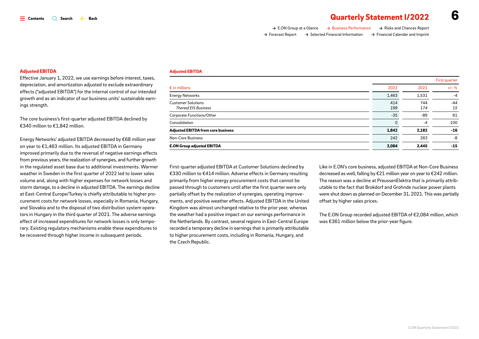| . .                   |  |
|-----------------------|--|
| I<br>r                |  |
| ۰.<br>v<br>. .<br>- 1 |  |

| $\rightarrow$ E.ON Group at a Glance | $\rightarrow$ Business Performance           | $\rightarrow$ Risks and Chances Report       |
|--------------------------------------|----------------------------------------------|----------------------------------------------|
| → Forecast Report                    | $\rightarrow$ Selected Financial Information | $\rightarrow$ Financial Calendar and Imprint |

### *Adjusted EBITDA*

*Effective January 1, 2022, we use earnings before interest, taxes, depreciation, and amortization adjusted to exclude extraordinary effects ("adjusted EBITDA") for the internal control of our intended growth and as an indicator of our business units' sustainable earnings strength.*

*The core business's first-quarter adjusted EBITDA declined by €340 million to €1,842 million.*

*Energy Networks' adjusted EBITDA decreased by €68 million year on year to €1,463 million. Its adjusted EBITDA in Germany improved primarily due to the reversal of negative earnings effects from previous years, the realization of synergies, and further growth in the regulated asset base due to additional investments. Warmer weather in Sweden in the first quarter of 2022 led to lower sales volume and, along with higher expenses for network losses and storm damage, to a decline in adjusted EBITDA. The earnings decline at East-Central Europe/Turkey is chiefly attributable to higher procurement costs for network losses, especially in Romania, Hungary, and Slovakia and to the disposal of two distribution system operators in Hungary in the third quarter of 2021. The adverse earnings effect of increased expenditures for network losses is only temporary. Existing regulatory mechanisms enable these expenditures to be recovered through higher income in subsequent periods.* 

#### *Adjusted EBITDA*

|                                                          |            |            | First quarter |
|----------------------------------------------------------|------------|------------|---------------|
| $\epsilon$ in millions                                   | 2022       | 2021       | $+/-$ %       |
| <b>Energy Networks</b>                                   | 1,463      | 1,531      | $-4$          |
| <b>Customer Solutions</b><br><b>Thereof EIS Business</b> | 414<br>199 | 744<br>174 | $-44$<br>15   |
| Corporate Functions/Other                                | $-35$      | -89        | 61            |
| Consolidation                                            | $\Omega$   | $-4$       | 100           |
| <b>Adjusted EBITDA from core business</b>                | 1,842      | 2,182      | $-16$         |
| <b>Non-Core Business</b>                                 | 242        | 263        | -8            |
| <b>E.ON Group adjusted EBITDA</b>                        | 2,084      | 2,445      | $-15$         |

*First-quarter adjusted EBITDA at Customer Solutions declined by €330 million to €414 million. Adverse effects in Germany resulting primarily from higher energy procurement costs that cannot be passed through to customers until after the first quarter were only partially offset by the realization of synergies, operating improvements, and positive weather effects. Adjusted EBITDA in the United Kingdom was almost unchanged relative to the prior year, whereas the weather had a positive impact on our earnings performance in the Netherlands. By contrast, several regions in East-Central Europe recorded a temporary decline in earnings that is primarily attributable to higher procurement costs, including in Romania, Hungary, and the Czech Republic.* 

*Like in E.ON's core business, adjusted EBITDA at Non-Core Business decreased as well, falling by €21 million year on year to €242 million. The reason was a decline at PreussenElektra that is primarily attributable to the fact that Brokdorf and Grohnde nuclear power plants were shut down as planned on December 31, 2021. This was partially offset by higher sales prices.*

*The E.ON Group recorded adjusted EBITDA of €2,084 million, which was €361 million below the prior-year figure.*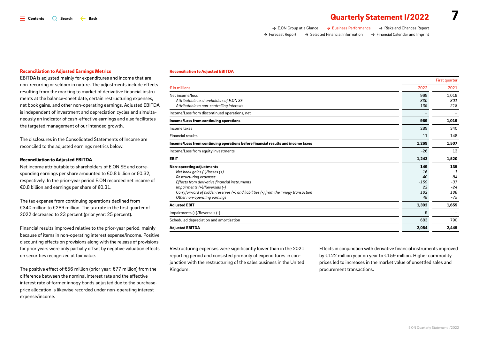## $\equiv$  contents  $\cap$  Search  $\leftarrow$  Back  $\equiv$  Contents  $\cap$  Statement I/2022

| $\rightarrow$ E.ON Group at a Glance | $\rightarrow$ Business Performance           | $\rightarrow$ Risks and Chances Report       |
|--------------------------------------|----------------------------------------------|----------------------------------------------|
| $\rightarrow$ Forecast Report        | $\rightarrow$ Selected Financial Information | $\rightarrow$ Financial Calendar and Imprint |

#### *Reconciliation to Adjusted Earnings Metrics*

*EBITDA is adjusted mainly for expenditures and income that are non-recurring or seldom in nature. The adjustments include effects resulting from the marking to market of derivative financial instruments at the balance-sheet date, certain restructuring expenses, net book gains, and other non-operating earnings. Adjusted EBITDA is independent of investment and depreciation cycles and simultaneously an indicator of cash-effective earnings and also facilitates the targeted management of our intended growth.* 

*The disclosures in the Consolidated Statements of Income are reconciled to the adjusted earnings metrics below.*

### *Reconciliation to Adjusted EBITDA*

*Net income attributable to shareholders of E.ON SE and corresponding earnings per share amounted to €0.8 billion or €0.32, respectively. In the prior-year period E.ON recorded net income of €0.8 billion and earnings per share of €0.31.*

*The tax expense from continuing operations declined from €340 million to €289 million. The tax rate in the first quarter of 2022 decreased to 23 percent (prior year: 25 percent).*

*Financial results improved relative to the prior-year period, mainly because of items in non-operating interest expense/income. Positive discounting effects on provisions along with the release of provisions for prior years were only partially offset by negative valuation effects on securities recognized at fair value.*

*The positive effect of €56 million (prior year: €77 million) from the difference between the nominal interest rate and the effective interest rate of former innogy bonds adjusted due to the purchaseprice allocation is likewise recorded under non-operating interest expense/income.*

#### *Reconciliation to Adjusted EBITDA*

|                                                                                     |        | First quarter |
|-------------------------------------------------------------------------------------|--------|---------------|
| $\epsilon$ in millions                                                              | 2022   | 2021          |
| Net income/loss                                                                     | 969    | 1,019         |
| Attributable to shareholders of E.ON SE                                             | 830    | 801           |
| Attributable to non-controlling interests                                           | 139    | 218           |
| Income/Loss from discontinued operations, net                                       |        |               |
| Income/Loss from continuing operations                                              | 969    | 1,019         |
| Income taxes                                                                        | 289    | 340           |
| <b>Financial results</b>                                                            | 11     | 148           |
| Income/Loss from continuing operations before financial results and income taxes    | 1,269  | 1,507         |
| Income/Loss from equity investments                                                 | $-26$  | 13            |
| <b>EBIT</b>                                                                         | 1,243  | 1,520         |
| Non-operating adjustments                                                           | 149    | 135           |
| Net book gains (-)/losses (+)                                                       | 16     | $-1$          |
| Restructuring expenses                                                              | 40     | 84            |
| Effects from derivative financial instruments                                       | $-159$ | $-37$         |
| Impairments (+)/Reversals (-)                                                       | 22     | $-24$         |
| Carryforward of hidden reserves (+) and liabilities (-) from the innogy transaction | 182    | 188           |
| Other non-operating earnings                                                        | 48     | $-75$         |
| <b>Adjusted EBIT</b>                                                                | 1,392  | 1,655         |
| Impairments (+)/Reversals (-)                                                       | 9      |               |
| Scheduled depreciation and amortization                                             | 683    | 790           |
| <b>Adjusted EBITDA</b>                                                              | 2,084  | 2,445         |
|                                                                                     |        |               |

*Restructuring expenses were significantly lower than in the 2021 reporting period and consisted primarily of expenditures in conjunction with the restructuring of the sales business in the United Kingdom.*

*Effects in conjunction with derivative financial instruments improved by €122 million year on year to €159 million. Higher commodity prices led to increases in the market value of unsettled sales and procurement transactions.*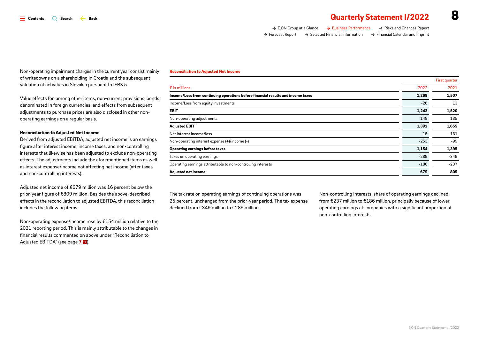# $\overline{a}$   $\overline{a}$   $\overline{a}$   $\overline{a}$   $\overline{a}$   $\overline{a}$   $\overline{a}$   $\overline{a}$   $\overline{a}$  **323447 82449 828449 82849 83449 83449 836449 836449 836449 846449 847449 847449 847449 8474449 847444444444444**

| tormance | $\rightarrow$ Risks and Chances Report |  |
|----------|----------------------------------------|--|

→ [E.ON Group at a Glance](#page-1-0) → Business Per *[Forecast Report](#page-11-0) [Selected Financial Information](#page-12-0) [Financial Calendar and Imprint](#page-17-0)*

*Non-operating impairment charges in the current year consist mainly of writedowns on a shareholding in Croatia and the subsequent valuation of activities in Slovakia pursuant to IFRS 5.*

*Value effects for, among other items, non-current provisions, bonds denominated in foreign currencies, and effects from subsequent adjustments to purchase prices are also disclosed in other nonoperating earnings on a regular basis.*

### *Reconciliation to Adjusted Net Income*

*Derived from adjusted EBITDA, adjusted net income is an earnings figure after interest income, income taxes, and non-controlling interests that likewise has been adjusted to exclude non-operating effects. The adjustments include the aforementioned items as well as interest expense/income not affecting net income (after taxes and non-controlling interests).* 

*Adjusted net income of €679 million was 16 percent below the prior-year figure of €809 million. Besides the above-described effects in the reconciliation to adjusted EBITDA, this reconciliation includes the following items.*

*Non-operating expense/income rose by €154 million relative to the 2021 reporting period. This is mainly attributable to the changes in financial results commented on above under "Reconciliation to Adjusted EBITDA" (see page 7*  $\ominus$ *).* 

#### *Reconciliation to Adjusted Net Income*

| 2022<br>$\epsilon$ in millions<br>Income/Loss from continuing operations before financial results and income taxes<br>1,269<br>Income/Loss from equity investments<br>$-26$<br><b>EBIT</b><br>1,243<br>Non-operating adjustments<br>149<br><b>Adjusted EBIT</b><br>1,392<br>15<br>Net interest income/loss<br>Non-operating interest expense (+)/income (-)<br>$-253$<br>1,154<br><b>Operating earnings before taxes</b><br>Taxes on operating earnings<br>$-289$ |                                                              |        | First quarter |
|-------------------------------------------------------------------------------------------------------------------------------------------------------------------------------------------------------------------------------------------------------------------------------------------------------------------------------------------------------------------------------------------------------------------------------------------------------------------|--------------------------------------------------------------|--------|---------------|
|                                                                                                                                                                                                                                                                                                                                                                                                                                                                   |                                                              |        | 2021          |
|                                                                                                                                                                                                                                                                                                                                                                                                                                                                   |                                                              |        | 1,507         |
|                                                                                                                                                                                                                                                                                                                                                                                                                                                                   |                                                              |        | 13            |
|                                                                                                                                                                                                                                                                                                                                                                                                                                                                   |                                                              |        | 1,520         |
|                                                                                                                                                                                                                                                                                                                                                                                                                                                                   |                                                              |        | 135           |
|                                                                                                                                                                                                                                                                                                                                                                                                                                                                   |                                                              |        | 1,655         |
|                                                                                                                                                                                                                                                                                                                                                                                                                                                                   |                                                              |        | $-161$        |
|                                                                                                                                                                                                                                                                                                                                                                                                                                                                   |                                                              |        | $-99$         |
|                                                                                                                                                                                                                                                                                                                                                                                                                                                                   |                                                              |        | 1,395         |
|                                                                                                                                                                                                                                                                                                                                                                                                                                                                   |                                                              |        | $-349$        |
|                                                                                                                                                                                                                                                                                                                                                                                                                                                                   | Operating earnings attributable to non-controlling interests | $-186$ | $-237$        |
| 679<br>Adjusted net income                                                                                                                                                                                                                                                                                                                                                                                                                                        |                                                              |        | 809           |

*The tax rate on operating earnings of continuing operations was 25 percent, unchanged from the prior-year period. The tax expense declined from €349 million to €289 million.*

*Non-controlling interests' share of operating earnings declined from €237 million to €186 million, principally because of lower operating earnings at companies with a significant proportion of non-controlling interests.*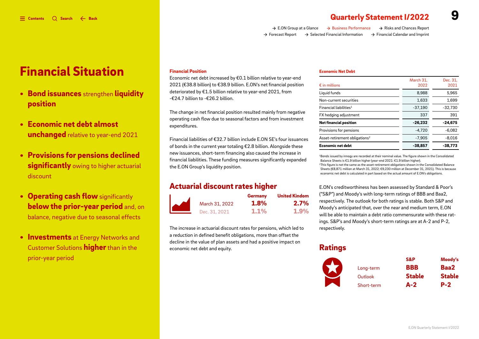*[E.ON Group at a Glance](#page-1-0) [Business Performance](#page-2-0) [Risks and Chances Report](#page-10-0) [Forecast Report](#page-11-0) [Selected Financial Information](#page-12-0) [Financial Calendar and Imprint](#page-17-0)*

# *Financial Situation*

- *Bond issuances strengthen liquidity position*
- *Economic net debt almost unchanged relative to year-end 2021*
- *Provisions for pensions declined significantly owing to higher actuarial discount*
- *Operating cash flow significantly below the prior-year period and, on balance, negative due to seasonal effects*
- *Investments at Energy Networks and Customer Solutions higher than in the prior-year period*

### *Financial Position*

*Economic net debt increased by €0.1 billion relative to year-end 2021 (€38.8 billion) to €38.9 billion. E.ON's net financial position deteriorated by €1.5 billion relative to year-end 2021, from -€24.7 billion to -€26.2 billion.*

*The change in net financial position resulted mainly from negative operating cash flow due to seasonal factors and from investment expenditures.* 

*Financial liabilities of €32.7 billion include E.ON SE's four issuances of bonds in the current year totaling €2.8 billion. Alongside these new issuances, short-term financing also caused the increase in financial liabilities. These funding measures significantly expanded the E.ON Group's liquidity position.*

### **Actuarial discount rates higher** *E.ON's creditworthiness has been assessed by Standard & Poor's*

|                | <b>Germany</b> | <b>United Kindom</b> |
|----------------|----------------|----------------------|
| March 31, 2022 | $1.8\%$        | $2.7\%$              |
| Dec. 31, 2021  | $1.1\%$        | $1.9\%$              |

*The increase in actuarial discount rates for pensions, which led to a reduction in defined benefit obligations, more than offset the decline in the value of plan assets and had a positive impact on economic net debt and equity.*

#### *Economic Net Debt*

| $\epsilon$ in millions                    | March 31.<br>2022 | Dec. 31,<br>2021 |
|-------------------------------------------|-------------------|------------------|
| Liquid funds                              | 8,988             | 5,965            |
| Non-current securities                    | 1.633             | 1,699            |
| $Financial$ liabilities <sup>1</sup>      | $-37,190$         | $-32,730$        |
| FX hedging adjustment                     | 337               | 391              |
| <b>Net financial position</b>             | $-26.232$         | $-24.675$        |
| Provisions for pensions                   | $-4.720$          | $-6.082$         |
| Asset-retirement obligations <sup>2</sup> | $-7.905$          | $-8.016$         |
| <b>Economic net debt</b>                  | $-38.857$         | $-38,773$        |

*1Bonds issued by innogy are recorded at their nominal value. The figure shown in the Consolidated Balance Sheets is €1.9 billion higher (year-end 2021: €1.9 billion higher).* 

*2This figure is not the same as the asset-retirement obligations shown in the Consolidated Balance Sheets (€8,871 million at March 31, 2022; €9,230 million at December 31, 2021). This is because economic net debt is calculated in part based on the actual amount of E.ON's obligations.* 

*("S&P") and Moody's with long-term ratings of BBB and Baa2, respectively. The outlook for both ratings is stable. Both S&P and Moody's anticipated that, over the near and medium term, E.ON will be able to maintain a debt ratio commensurate with these ratings. S&P's and Moody's short-term ratings are at A-2 and P-2, respectively.*

# *Ratings*

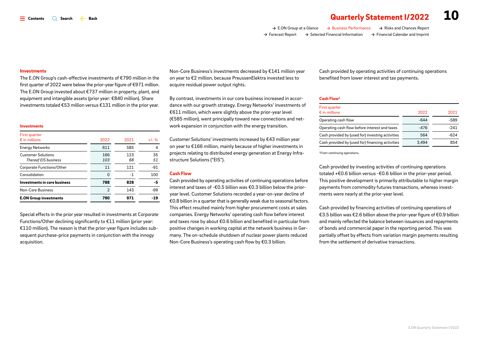# $\equiv$  contents  $\quad \odot$  Search  $\leftarrow$  Back **details Contents and Search**  $\sim$  **8.2022 10**

*[E.ON Group at a Glance](#page-1-0) [Business Performance](#page-2-0) [Risks and Chances Report](#page-10-0) [Forecast Report](#page-11-0) [Selected Financial Information](#page-12-0) [Financial Calendar and Imprint](#page-17-0)*

#### *Investments*

*The E.ON Group's cash-effective investments of €790 million in the first quarter of 2022 were below the prior-year figure of €971 million. The E.ON Group invested about €737 million in property, plant, and equipment and intangible assets (prior year: €840 million). Share investments totaled €53 million versus €131 million in the prior year.*

#### *Investments*

| First quarter                                            |                |           |          |
|----------------------------------------------------------|----------------|-----------|----------|
| $\epsilon$ in millions                                   | 2022           | 2021      | $+1 - %$ |
| <b>Energy Networks</b>                                   | 611            | 585       | 4        |
| <b>Customer Solutions</b><br><b>Thereof EIS business</b> | 166<br>103     | 123<br>68 | 35<br>51 |
| Corporate Functions/Other                                | 11             | 121       | $-91$    |
| Consolidation                                            | 0              | -1        | 100      |
| Investments in core business                             | 788            | 828       | -5       |
| Non-Core Business                                        | $\overline{2}$ | 143       | -99      |
| <b>E.ON Group investments</b>                            | 790            | 971       | -19      |

*Special effects in the prior year resulted in investments at Corporate Functions/Other declining significantly to €11 million (prior year: €110 million). The reason is that the prior-year figure includes subsequent purchase-price payments in conjunction with the innogy acquisition.* 

*Non-Core Business's investments decreased by €141 million year on year to €2 million, because PreussenElektra invested less to acquire residual power output rights.*

*By contrast, investments in our core business increased in accordance with our growth strategy. Energy Networks' investments of €611 million, which were slightly above the prior-year level (€585 million), went principally toward new connections and network expansion in conjunction with the energy transition.*

*Customer Solutions' investments increased by €43 million year on year to €166 million, mainly because of higher investments in projects relating to distributed energy generation at Energy Infrastructure Solutions ("EIS").*

### *Cash Flow*

*Cash provided by operating activities of continuing operations before interest and taxes of -€0.5 billion was €0.3 billion below the prioryear level. Customer Solutions recorded a year-on-year decline of €0.8 billion in a quarter that is generally weak due to seasonal factors. This effect resulted mainly from higher procurement costs at sales companies. Energy Networks' operating cash flow before interest and taxes rose by about €0.6 billion and benefited in particular from positive changes in working capital at the network business in Germany. The on-schedule shutdown of nuclear power plants reduced Non-Core Business's operating cash flow by €0.3 billion.*

*Cash provided by operating activities of continuing operations benefited from lower interest and tax payments.*

#### *Cash Flow1*

| First quarter<br>$\epsilon$ in millions          | 2022   | 2021   |
|--------------------------------------------------|--------|--------|
| Operating cash flow                              | $-644$ | $-589$ |
| Operating cash flow before interest and taxes    | $-476$ | $-241$ |
| Cash provided by (used for) investing activities | 564    | -624   |
| Cash provided by (used for) financing activities | 3.494  | 854    |

*1From continuing operations.*

*Cash provided by investing activities of continuing operations totaled +€0.6 billion versus -€0.6 billion in the prior-year period. This positive development is primarily attributable to higher margin payments from commodity futures transactions, whereas investments were nearly at the prior-year level.*

*Cash provided by financing activities of continuing operations of €3.5 billion was €2.6 billion above the prior-year figure of €0.9 billion and mainly reflected the balance between issuances and repayments of bonds and commercial paper in the reporting period. This was partially offset by effects from variation margin payments resulting from the settlement of derivative transactions.*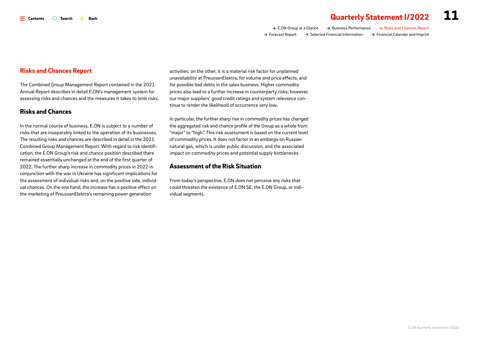*[E.ON Group at a Glance](#page-1-0) [Business Performance](#page-2-0) [Risks and Chances Report](#page-10-0) [Forecast Report](#page-11-0) [Selected Financial Information](#page-12-0) [Financial Calendar and Imprint](#page-17-0)*

<span id="page-10-0"></span>*The Combined Group Management Report contained in the 2021 Annual Report describes in detail E.ON's management system for assessing risks and chances and the measures it takes to limit risks.* 

### *Risks and Chances*

*In the normal course of business, E.ON is subject to a number of risks that are inseparably linked to the operation of its businesses. The resulting risks and chances are described in detail in the 2021 Combined Group Management Report. With regard to risk identification, the E.ON Group's risk and chance position described there remained essentially unchanged at the end of the first quarter of 2022. The further sharp increase in commodity prices in 2022 in conjunction with the war in Ukraine has significant implications for the assessment of individual risks and, on the positive side, individual chances. On the one hand, the increase has a positive effect on the marketing of PreussenElektra's remaining power generation* 

*activities; on the other, it is a material risk factor for unplanned unavailability at PreussenElektra, for volume and price effects, and for possible bad debts in the sales business. Higher commodity prices also lead to a further increase in counterparty risks; however, our major suppliers' good credit ratings and system relevance continue to render the likelihood of occurrence very low.* 

*In particular, the further sharp rise in commodity prices has changed the aggregated risk and chance profile of the Group as a whole from "major" to "high." This risk assessment is based on the current level of commodity prices. It does not factor in an embargo on Russian natural gas, which is under public discussion, and the associated impact on commodity prices and potential supply bottlenecks.*

### *Assessment of the Risk Situation*

*From today's perspective, E.ON does not perceive any risks that could threaten the existence of E.ON SE, the E.ON Group, or individual segments.*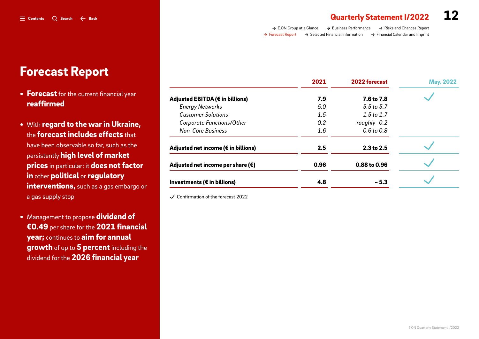| $\rightarrow$ E.ON Group at a Glance | $\rightarrow$ Business Performance           | $\rightarrow$ Risks and Chances Report       |
|--------------------------------------|----------------------------------------------|----------------------------------------------|
| $\rightarrow$ Forecast Report        | $\rightarrow$ Selected Financial Information | $\rightarrow$ Financial Calendar and Imprint |

| $\rightarrow$ E.ON Group at a Glance | $\rightarrow$ Business Performance           | $\rightarrow$ Risks and Chances Report       |
|--------------------------------------|----------------------------------------------|----------------------------------------------|
| Forecast Report                      | $\rightarrow$ Selected Financial Information | $\rightarrow$ Financial Calendar and Imprint |

|                                                  | 2021   | 2022 forecast | <b>May, 2022</b> |
|--------------------------------------------------|--------|---------------|------------------|
| Adjusted EBITDA (€ in billions)                  | 7.9    | 7.6 to 7.8    |                  |
| <b>Energy Networks</b>                           | 5.0    | 5.5 to 5.7    |                  |
| <b>Customer Solutions</b>                        | 1.5    | 1.5 to $1.7$  |                  |
| <b>Corporate Functions/Other</b>                 | $-0.2$ | roughly -0.2  |                  |
| <b>Non-Core Business</b>                         | 1.6    | 0.6 to 0.8    |                  |
| Adjusted net income ( $\varepsilon$ in billions) | 2.5    | 2.3 to 2.5    |                  |
| Adjusted net income per share $(\epsilon)$       | 0.96   | 0.88 to 0.96  |                  |
| Investments ( $\varepsilon$ in billions)         | 4.8    | $-5.3$        |                  |

*Confirmation of the forecast 2022*

- <span id="page-11-0"></span>*Forecast Report*
- *• Forecast for the current financial year reaffirmed*
- *• With regard to the war in Ukraine, the forecast includes effects that have been observable so far, such as the persistently high level of market prices in particular; it does not factor in other political or regulatory interventions, such as a gas embargo or a gas supply stop*
- *• Management to propose dividend of €0.49 per share for the 2021 financial year; continues to aim for annual growth of up to 5 percent including the dividend for the 2026 financial year*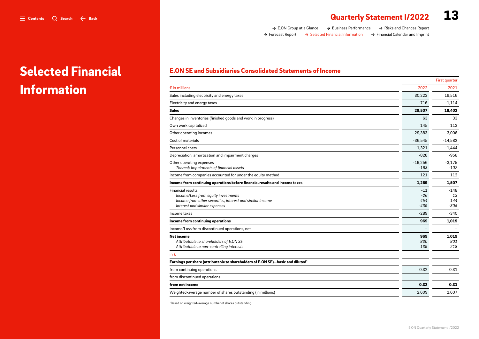*Information*

*Selected Financial* 

# <span id="page-12-0"></span> $\equiv$  contents  $\sim$   $\sim$  8ack  $\parallel$  **13**

*[E.ON Group at a Glance](#page-1-0) [Business Performance](#page-2-0) [Risks and Chances Report](#page-10-0) [Forecast Report](#page-11-0) [Selected Financial Information](#page-12-0) [Financial Calendar and Imprint](#page-17-0)*

### *E.ON SE and Subsidiaries Consolidated Statements of Income*

|                                                                                                                                                               |                                 | First quarter                 |
|---------------------------------------------------------------------------------------------------------------------------------------------------------------|---------------------------------|-------------------------------|
| $\epsilon$ in millions                                                                                                                                        | 2022                            | 2021                          |
| Sales including electricity and energy taxes                                                                                                                  | 30,223                          | 19,516                        |
| Electricity and energy taxes                                                                                                                                  | $-716$                          | $-1.114$                      |
| Sales                                                                                                                                                         | 29,507                          | 18,402                        |
| Changes in inventories (finished goods and work in progress)                                                                                                  | 63                              | 33                            |
| Own work capitalized                                                                                                                                          | 145                             | 113                           |
| Other operating incomes                                                                                                                                       | 29,383                          | 3,006                         |
| Cost of materials                                                                                                                                             | $-36,545$                       | $-14,582$                     |
| Personnel costs                                                                                                                                               | $-1,321$                        | $-1,444$                      |
| Depreciation, amortization and impairment charges                                                                                                             | $-828$                          | $-958$                        |
| Other operating expenses<br>Thereof: Impairments of financial assets                                                                                          | $-19,256$<br>$-163$             | $-3,175$<br>$-102$            |
| Income from companies accounted for under the equity method                                                                                                   | 121                             | 112                           |
| Income from continuing operations before financial results and income taxes                                                                                   | 1,269                           | 1,507                         |
| <b>Financial results</b><br>Income/Loss from equity investments<br>Income from other securities, interest and similar income<br>Interest and similar expenses | $-11$<br>$-26$<br>454<br>$-439$ | $-148$<br>13<br>144<br>$-305$ |
| Income taxes                                                                                                                                                  | $-289$                          | $-340$                        |
| Income from continuing operations                                                                                                                             | 969                             | 1.019                         |
| Income/Loss from discontinued operations, net                                                                                                                 |                                 |                               |
| <b>Net income</b><br>Attributable to shareholders of E.ON SE<br>Attributable to non-controlling interests                                                     | 969<br>830<br>139               | 1,019<br>801<br>218           |
| in $\epsilon$                                                                                                                                                 |                                 |                               |
| Earnings per share (attributable to shareholders of E.ON SE)-basic and diluted <sup>1</sup>                                                                   |                                 |                               |
| from continuing operations                                                                                                                                    | 0.32                            | 0.31                          |
| from discontinued operations                                                                                                                                  |                                 |                               |
| from net income                                                                                                                                               | 0.32                            | 0.31                          |
| Weighted-average number of shares outstanding (in millions)                                                                                                   | 2.609                           | 2.607                         |
|                                                                                                                                                               |                                 |                               |

*1Based on weighted-average number of shares outstanding.*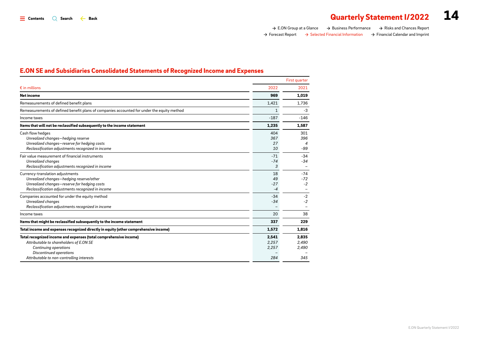*[E.ON Group at a Glance](#page-1-0) [Business Performance](#page-2-0) [Risks and Chances Report](#page-10-0) [Forecast Report](#page-11-0) [Selected Financial Information](#page-12-0) [Financial Calendar and Imprint](#page-17-0)*

### *E.ON SE and Subsidiaries Consolidated Statements of Recognized Income and Expenses*

|                                                                                                                                                                                                                             |                                | First quarter                                 |
|-----------------------------------------------------------------------------------------------------------------------------------------------------------------------------------------------------------------------------|--------------------------------|-----------------------------------------------|
| $\epsilon$ in millions                                                                                                                                                                                                      | 2022                           | 2021                                          |
| <b>Net income</b>                                                                                                                                                                                                           | 969                            | 1.019                                         |
| Remeasurements of defined benefit plans                                                                                                                                                                                     | 1,421                          | 1.736                                         |
| Remeasurements of defined benefit plans of companies accounted for under the equity method                                                                                                                                  | $\mathbf{1}$                   | $-3$                                          |
| Income taxes                                                                                                                                                                                                                | $-187$                         | $-146$                                        |
| Items that will not be reclassified subsequently to the income statement                                                                                                                                                    | 1,235                          | 1,587                                         |
| Cash flow hedges<br>Unrealized changes-hedging reserve<br>Unrealized changes-reserve for hedging costs<br>Reclassification adjustments recognized in income                                                                 | 404<br>367<br>27<br>10         | 301<br>396<br>$\overline{\mathcal{A}}$<br>-99 |
| Fair value measurement of financial instruments<br>Unrealized changes<br>Reclassification adjustments recognized in income                                                                                                  | $-71$<br>$-74$<br>3            | $-34$<br>$-34$<br>$\overline{\phantom{0}}$    |
| Currency-translation adjustments<br>Unrealized changes-hedging reserve/other<br>Unrealized changes-reserve for hedging costs<br>Reclassification adjustments recognized in income                                           | 18<br>49<br>$-27$<br>$-4$      | $-74$<br>$-72$<br>$-2$                        |
| Companies accounted for under the equity method<br><b>Unrealized changes</b><br>Reclassification adjustments recognized in income                                                                                           | $-34$<br>$-34$                 | $-2$<br>$-2$                                  |
| Income taxes                                                                                                                                                                                                                | 20                             | 38                                            |
| Items that might be reclassified subsequently to the income statement                                                                                                                                                       | 337                            | 229                                           |
| Total income and expenses recognized directly in equity (other comprehensive income)                                                                                                                                        | 1,572                          | 1,816                                         |
| Total recognized income and expenses (total comprehensive income)<br>Attributable to shareholders of E.ON SE<br><b>Continuing operations</b><br><b>Discontinued operations</b><br>Attributable to non-controlling interests | 2,541<br>2,257<br>2,257<br>284 | 2.835<br>2,490<br>2,490<br>345                |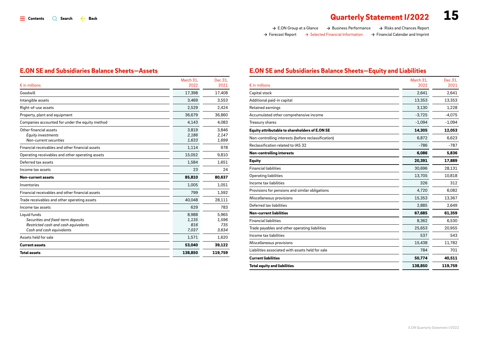### *E.ON SE and Subsidiaries Balance Sheets—Assets*

| $\epsilon$ in millions                                                                                                  | March 31,<br>2022              | Dec.31,<br>2021                |
|-------------------------------------------------------------------------------------------------------------------------|--------------------------------|--------------------------------|
| Goodwill                                                                                                                | 17,398                         | 17,408                         |
| Intangible assets                                                                                                       | 3,469                          | 3,553                          |
| Right-of-use assets                                                                                                     | 2,529                          | 2,424                          |
| Property, plant and equipment                                                                                           | 36.679                         | 36.860                         |
| Companies accounted for under the equity method                                                                         | 4,143                          | 4,083                          |
| Other financial assets<br><b>Equity investments</b><br>Non-current securities                                           | 3.819<br>2.186<br>1.633        | 3.846<br>2.147<br>1,699        |
| Financial receivables and other financial assets                                                                        | 1,114                          | 978                            |
| Operating receivables and other operating assets                                                                        | 15,052                         | 9,810                          |
| Deferred tax assets                                                                                                     | 1,584                          | 1,651                          |
| Income tax assets                                                                                                       | 23                             | 24                             |
| Non-current assets                                                                                                      | 85,810                         | 80,637                         |
| Inventories                                                                                                             | 1,005                          | 1.051                          |
| Financial receivables and other financial assets                                                                        | 799                            | 1,592                          |
| Trade receivables and other operating assets                                                                            | 40.048                         | 28,111                         |
| Income tax assets                                                                                                       | 629                            | 783                            |
| Liquid funds<br>Securities and fixed-term deposits<br>Restricted cash and cash equivalents<br>Cash and cash equivalents | 8,988<br>1,135<br>816<br>7,037 | 5,965<br>1,596<br>735<br>3,634 |
| Assets held for sale                                                                                                    | 1,571                          | 1,620                          |
| <b>Current assets</b>                                                                                                   | 53,040                         | 39,122                         |
| <b>Total assets</b>                                                                                                     | 138,850                        | 119,759                        |

### *E.ON SE and Subsidiaries Balance Sheets—Equity and Liabilities*

| $\epsilon$ in millions                              | March 31.<br>2022 | Dec.31.<br>2021 |
|-----------------------------------------------------|-------------------|-----------------|
| Capital stock                                       | 2.641             | 2.641           |
| Additional paid-in capital                          | 13,353            | 13,353          |
| Retained earnings                                   | 3,130             | 1,228           |
| Accumulated other comprehensive income              | $-3,725$          | $-4,075$        |
| Treasury shares                                     | $-1,094$          | $-1,094$        |
| Equity attributable to shareholders of E.ON SE      | 14.305            | 12.053          |
| Non-controlling interests (before reclassification) | 6,872             | 6,623           |
| Reclassification related to IAS 32                  | $-786$            | $-787$          |
| <b>Non-controlling interests</b>                    | 6,086             | 5.836           |
| <b>Equity</b>                                       | 20.391            | 17,889          |
| <b>Financial liabilities</b>                        | 30,696            | 28,131          |
| Operating liabilities                               | 13,705            | 10,818          |
| Income tax liabilities                              | 326               | 312             |
| Provisions for pensions and similar obligations     | 4,720             | 6.082           |
| Miscellaneous provisions                            | 15,353            | 13,367          |
| Deferred tax liabilities                            | 2,885             | 2,649           |
| <b>Non-current liabilities</b>                      | 67.685            | 61.359          |
| <b>Financial liabilities</b>                        | 8,362             | 6,530           |
| Trade payables and other operating liabilities      | 25,653            | 20,955          |
| Income tax liabilities                              | 537               | 543             |
| Miscellaneous provisions                            | 15,438            | 11.782          |
| Liabilities associated with assets held for sale    | 784               | 701             |
| <b>Current liabilities</b>                          | 50,774            | 40,511          |
| <b>Total equity and liabilities</b>                 | 138,850           | 119,759         |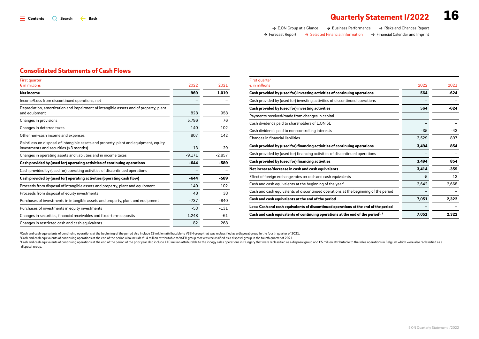| $\rightarrow$ E.ON Group at a Glance | $\rightarrow$ Business Performance           | $\rightarrow$ Risks and Chances Report       |
|--------------------------------------|----------------------------------------------|----------------------------------------------|
| $\rightarrow$ Forecast Report        | $\rightarrow$ Selected Financial Information | $\rightarrow$ Financial Calendar and Imprint |

### *Consolidated Statements of Cash Flows*

| First quarter                                                                                                                  |          |          |
|--------------------------------------------------------------------------------------------------------------------------------|----------|----------|
| $\epsilon$ in millions                                                                                                         | 2022     | 2021     |
| Net income                                                                                                                     | 969      | 1.019    |
| Income/Loss from discontinued operations, net                                                                                  |          |          |
| Depreciation, amortization and impairment of intangible assets and of property, plant<br>and equipment                         | 828      | 958      |
| Changes in provisions                                                                                                          | 5,796    | 76       |
| Changes in deferred taxes                                                                                                      | 140      | 102      |
| Other non-cash income and expenses                                                                                             | 807      | 142      |
| Gain/Loss on disposal of intangible assets and property, plant and equipment, equity<br>investments and securities (>3 months) | $-13$    | $-29$    |
| Changes in operating assets and liabilities and in income taxes                                                                | $-9,171$ | $-2,857$ |
| Cash provided by (used for) operating activities of continuing operations                                                      | $-644$   | $-589$   |
| Cash provided by (used for) operating activities of discontinued operations                                                    |          |          |
| Cash provided by (used for) operating activities (operating cash flow)                                                         | $-644$   | $-589$   |
| Proceeds from disposal of intangible assets and property, plant and equipment                                                  | 140      | 102      |
| Proceeds from disposal of equity investments                                                                                   | 48       | 38       |
| Purchases of investments in intangible assets and property, plant and equipment                                                | $-737$   | $-840$   |
| Purchases of investments in equity investments                                                                                 | $-53$    | $-131$   |
| Changes in securities, financial receivables and fixed-term deposits                                                           | 1,248    | $-61$    |
| Changes in restricted cash and cash equivalents                                                                                | $-82$    | 268      |

| First quarter                                                                               |       |        |
|---------------------------------------------------------------------------------------------|-------|--------|
| $\epsilon$ in millions                                                                      | 2022  | 2021   |
| Cash provided by (used for) investing activities of continuing operations                   | 564   | $-624$ |
| Cash provided by (used for) investing activities of discontinued operations                 |       |        |
| Cash provided by (used for) investing activities                                            | 564   | $-624$ |
| Payments received/made from changes in capital                                              |       |        |
| Cash dividends paid to shareholders of E.ON SE                                              |       |        |
| Cash dividends paid to non-controlling interests                                            | $-35$ | $-43$  |
| Changes in financial liabilities                                                            | 3,529 | 897    |
| Cash provided by (used for) financing activities of continuing operations                   | 3,494 | 854    |
| Cash provided by (used for) financing activities of discontinued operations                 |       |        |
| Cash provided by (used for) financing activities                                            | 3,494 | 854    |
| Net increase/decrease in cash and cash equivalents                                          | 3,414 | $-359$ |
| Effect of foreign exchange rates on cash and cash equivalents                               | $-5$  | 13     |
| Cash and cash equivalents at the beginning of the year <sup>1</sup>                         | 3,642 | 2,668  |
| Cash and cash equivalents of discontinued operations at the beginning of the period         |       |        |
| Cash and cash equivalents at the end of the period                                          | 7,051 | 2,322  |
| Less: Cash and cash equivalents of discontinued operations at the end of the period         |       |        |
| Cash and cash equivalents of continuing operations at the end of the period <sup>2, 3</sup> | 7,051 | 2,322  |

*1Cash and cash equivalents of continuing operations at the beginning of the period also include €8 million attributable to VSEH group that was reclassified as a disposal group in the fourth quarter of 2021.*

*2Cash and cash equivalents of continuing operations at the end of the period also include €14 million attributable to VSEH group that was reclassified as a disposal group in the fourth quarter of 2021.*

a Cash and cash equivalents of continuing operations at the end of the period of the prior year also include €10 million attributable to the innogy sales operations in Hungary that were reclassified as a disposal group an *disposal group.*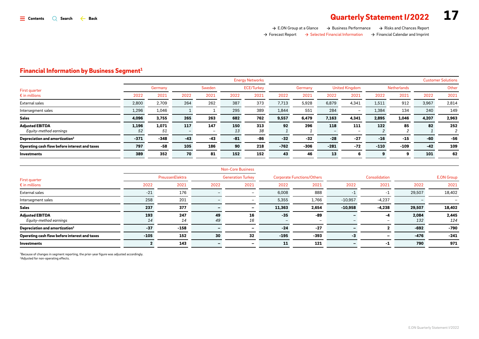*[E.ON Group at a Glance](#page-1-0) [Business Performance](#page-2-0) [Risks and Chances Report](#page-10-0) [Forecast Report](#page-11-0) [Selected Financial Information](#page-12-0) [Financial Calendar and Imprint](#page-17-0)*

### *Financial Information by Business Segment 1*

|                                                  |             |             |       |                                 |       | <b>Energy Networks</b> |        |         |        |                                 |        |             |       | <b>Customer Solutions</b> |
|--------------------------------------------------|-------------|-------------|-------|---------------------------------|-------|------------------------|--------|---------|--------|---------------------------------|--------|-------------|-------|---------------------------|
| First quarter                                    |             | Germany     |       | Sweden                          |       | <b>ECE/Turkey</b>      |        | Germany |        | <b>United Kingdom</b>           |        | Netherlands |       | Other                     |
| $\epsilon$ in millions                           | 2022        | 2021        | 2022  | 2021                            | 2022  | 2021                   | 2022   | 2021    | 2022   | 2021                            | 2022   | 2021        | 2022  | 2021                      |
| External sales                                   | 2,800       | 2,709       | 264   | 262                             | 387   | 373                    | 7,713  | 5,928   | 6,879  | 4,341                           | 1,511  | 912         | 3,967 | 2,814                     |
| Intersegment sales                               | 1,296       | 1,046       |       |                                 | 295   | 389                    | 1,844  | 551     | 284    |                                 | 1,384  | 134         | 240   | 149                       |
| <b>Sales</b>                                     | 4,096       | 3,755       | 265   | 263                             | 682   | 762                    | 9,557  | 6,479   | 7,163  | 4,341                           | 2,895  | 1,046       | 4,207 | 2,963                     |
| <b>Adjusted EBITDA</b><br>Equity-method earnings | 1,196<br>52 | 1,071<br>51 | 117   | 147<br>$\overline{\phantom{0}}$ | 150   | 313<br>38              | 92     | 296     | 118    | 111<br>$\overline{\phantom{0}}$ | 122    | 85          | 82    | 252                       |
| Depreciation and amortization <sup>2</sup>       | $-371$      | $-348$      | $-43$ | $-43$                           | $-81$ | -86                    | $-32$  | $-32$   | $-28$  | $-27$                           | $-16$  | $-15$       | -60   | -56                       |
| Operating cash flow before interest and taxes    | 797         | -58         | 105   | 186                             | 90    | 218                    | $-762$ | $-306$  | $-281$ | $-72$                           | $-110$ | $-109$      | $-42$ | 109                       |
| <b>Investments</b>                               | 389         | 352         | 70    | 81                              | 152   | 152                    | 43     | 46      | 13     | 6                               |        | 9           | 101   | 62                        |

|                                                  |                 |           |                          | <b>Non-Core Business</b> |                                   |                                 |               |          |                   |              |
|--------------------------------------------------|-----------------|-----------|--------------------------|--------------------------|-----------------------------------|---------------------------------|---------------|----------|-------------------|--------------|
| First quarter                                    | PreussenElektra |           | <b>Generation Turkey</b> |                          | <b>Corporate Functions/Others</b> |                                 | Consolidation |          | <b>E.ON Group</b> |              |
| $\epsilon$ in millions                           | 2022            | 2021      | 2022                     | 2021                     | 2022                              | 2021                            | 2022          | 2021     | 2022              | 2021         |
| External sales                                   | $-21$           | 176       |                          | $\overline{\phantom{0}}$ | 6,008                             | 888                             |               | -1       | 29,507            | 18,402       |
| Intersegment sales                               | 258             | 201       |                          | $\overline{\phantom{0}}$ | 5,355                             | 1,766                           | $-10,957$     | $-4,237$ |                   | -            |
| <b>Sales</b>                                     | 237             | 377       |                          | -                        | 11,363                            | 2,654                           | $-10,958$     | $-4,238$ | 29,507            | 18,402       |
| <b>Adjusted EBITDA</b><br>Equity-method earnings | 193<br>14       | 247<br>14 | 49<br>49                 | 16<br>16                 | $-35$                             | -89<br>$\overline{\phantom{0}}$ |               | -4       | 2,084<br>132      | 2,445<br>124 |
| Depreciation and amortization <sup>2</sup>       | $-37$           | $-158$    |                          |                          | $-24$                             | $-27$                           |               |          | $-692$            | $-790$       |
| Operating cash flow before interest and taxes    | $-105$          | 152       | 30                       | 32                       | $-195$                            | $-393$                          | -3            |          | -476              | $-241$       |
| Investments                                      |                 | 143       |                          |                          | 11                                | 121                             |               | -1       | 790               | 971          |

*1Because of changes in segment reporting, the prior-year figure was adjusted accordingly. 2Adjusted for non-operating effects.*